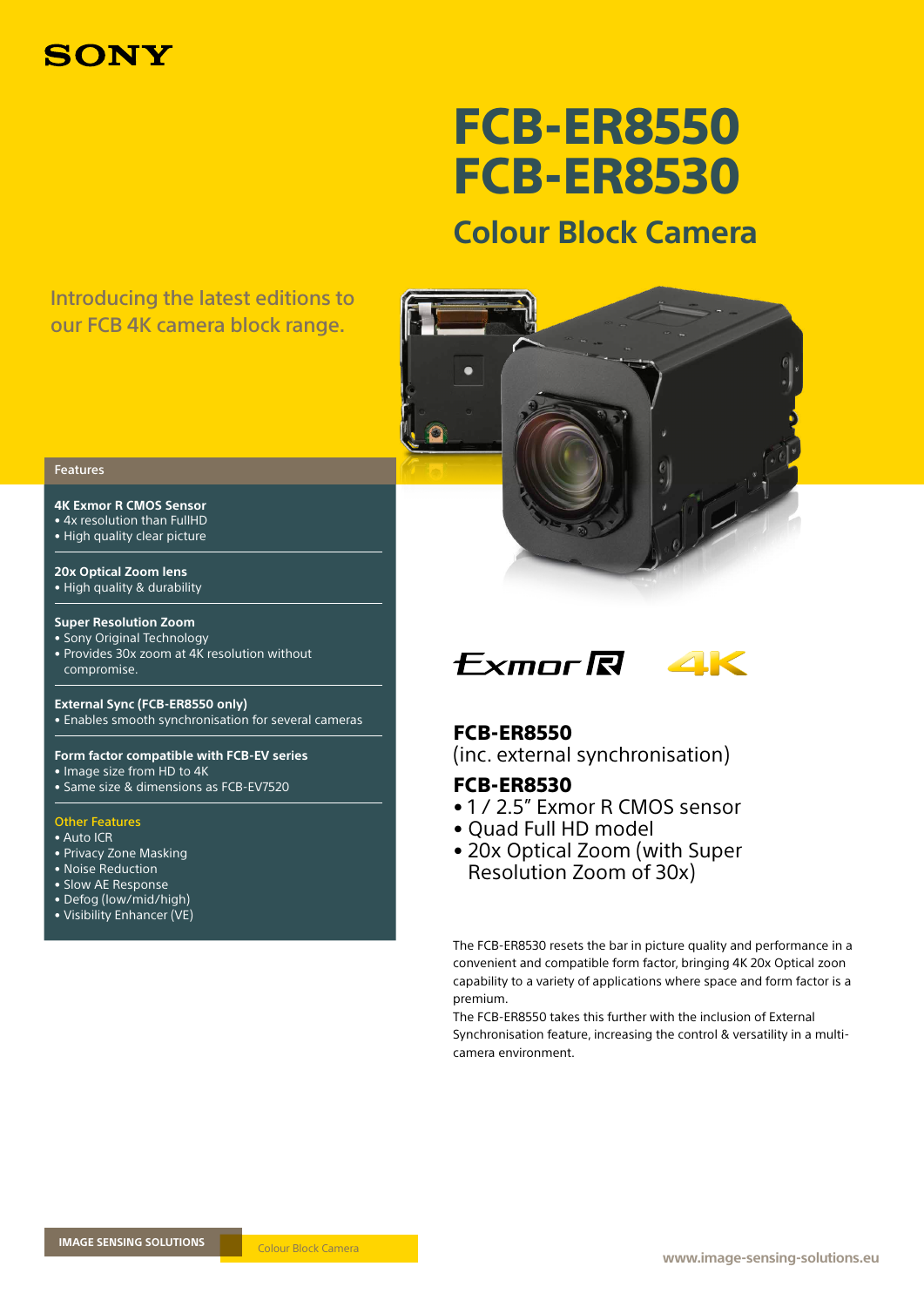

# FCB-ER8550 FCB-ER8530

# **Colour Block Camera**

# Introducing the latest editions to our FCB 4K camera block range.



### Features

**4K Exmor R CMOS Sensor**  • 4x resolution than FullHD

• High quality clear picture

**20x Optical Zoom lens**  • High quality & durability

### **Super Resolution Zoom**

• Sony Original Technology • Provides 30x zoom at 4K resolution without compromise.

**External Sync (FCB-ER8550 only)**  • Enables smooth synchronisation for several cameras

**Form factor compatible with FCB-EV series**  • Image size from HD to 4K

• Same size & dimensions as FCB-EV7520

### Other Features

- Auto ICR
- Privacy Zone Masking
- Noise Reduction
- Slow AE Response
- Defog (low/mid/high)
- Visibility Enhancer (VE)



## FCB-ER8550

(inc. external synchronisation)

# FCB-ER8530

- 1 / 2.5" Exmor R CMOS sensor
- Quad Full HD model
- 20x Optical Zoom (with Super Resolution Zoom of 30x)

The FCB-ER8530 resets the bar in picture quality and performance in a convenient and compatible form factor, bringing 4K 20x Optical zoon capability to a variety of applications where space and form factor is a premium.

The FCB-ER8550 takes this further with the inclusion of External Synchronisation feature, increasing the control & versatility in a multicamera environment.